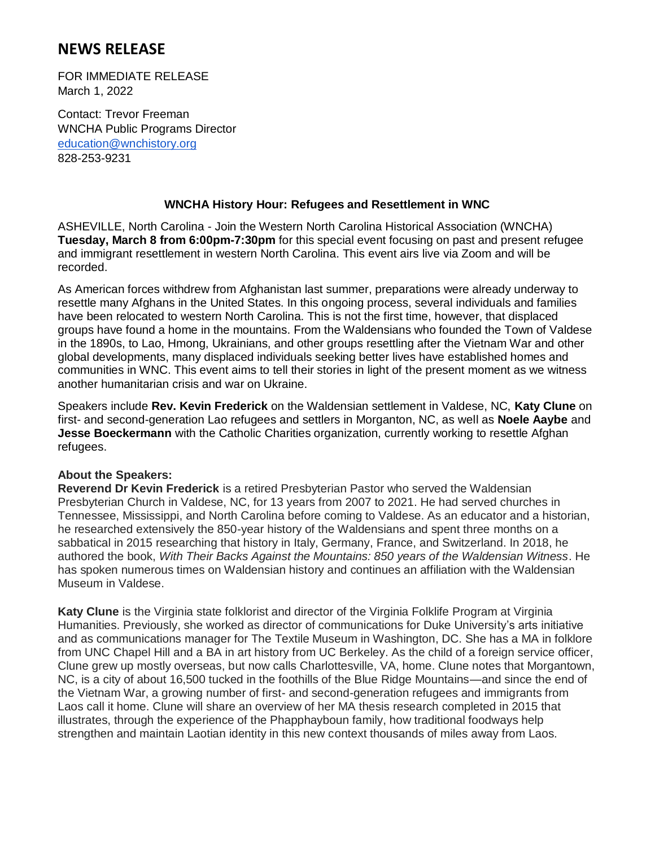# **NEWS RELEASE**

FOR IMMEDIATE RELEASE March 1, 2022

Contact: Trevor Freeman WNCHA Public Programs Director [education@wnchistory.org](mailto:education@wnchistory.org) 828-253-9231

## **WNCHA History Hour: Refugees and Resettlement in WNC**

ASHEVILLE, North Carolina - Join the Western North Carolina Historical Association (WNCHA) **Tuesday, March 8 from 6:00pm-7:30pm** for this special event focusing on past and present refugee and immigrant resettlement in western North Carolina. This event airs live via Zoom and will be recorded.

As American forces withdrew from Afghanistan last summer, preparations were already underway to resettle many Afghans in the United States. In this ongoing process, several individuals and families have been relocated to western North Carolina. This is not the first time, however, that displaced groups have found a home in the mountains. From the Waldensians who founded the Town of Valdese in the 1890s, to Lao, Hmong, Ukrainians, and other groups resettling after the Vietnam War and other global developments, many displaced individuals seeking better lives have established homes and communities in WNC. This event aims to tell their stories in light of the present moment as we witness another humanitarian crisis and war on Ukraine.

Speakers include **Rev. Kevin Frederick** on the Waldensian settlement in Valdese, NC, **Katy Clune** on first- and second-generation Lao refugees and settlers in Morganton, NC, as well as **Noele Aaybe** and **Jesse Boeckermann** with the Catholic Charities organization, currently working to resettle Afghan refugees.

#### **About the Speakers:**

**Reverend Dr Kevin Frederick** is a retired Presbyterian Pastor who served the Waldensian Presbyterian Church in Valdese, NC, for 13 years from 2007 to 2021. He had served churches in Tennessee, Mississippi, and North Carolina before coming to Valdese. As an educator and a historian, he researched extensively the 850-year history of the Waldensians and spent three months on a sabbatical in 2015 researching that history in Italy, Germany, France, and Switzerland. In 2018, he authored the book, *With Their Backs Against the Mountains: 850 years of the Waldensian Witness*. He has spoken numerous times on Waldensian history and continues an affiliation with the Waldensian Museum in Valdese.

**Katy Clune** is the Virginia state folklorist and director of the Virginia Folklife Program at Virginia Humanities. Previously, she worked as director of communications for Duke University's arts initiative and as communications manager for The Textile Museum in Washington, DC. She has a MA in folklore from UNC Chapel Hill and a BA in art history from UC Berkeley. As the child of a foreign service officer, Clune grew up mostly overseas, but now calls Charlottesville, VA, home. Clune notes that Morgantown, NC, is a city of about 16,500 tucked in the foothills of the Blue Ridge Mountains—and since the end of the Vietnam War, a growing number of first- and second-generation refugees and immigrants from Laos call it home. Clune will share an overview of her MA thesis research completed in 2015 that illustrates, through the experience of the Phapphayboun family, how traditional foodways help strengthen and maintain Laotian identity in this new context thousands of miles away from Laos.